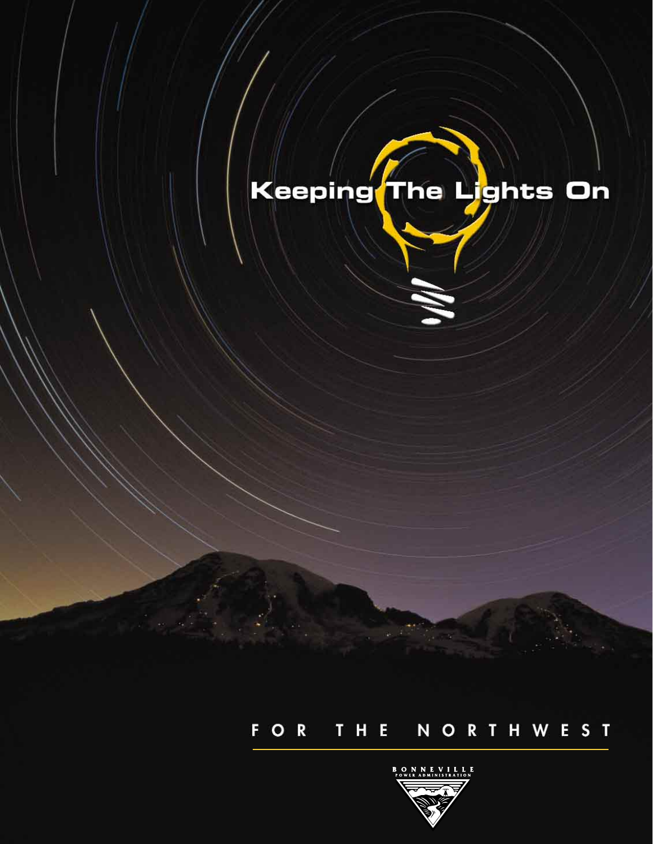# Keeping The Lights On

## FOR THE NORTHWEST

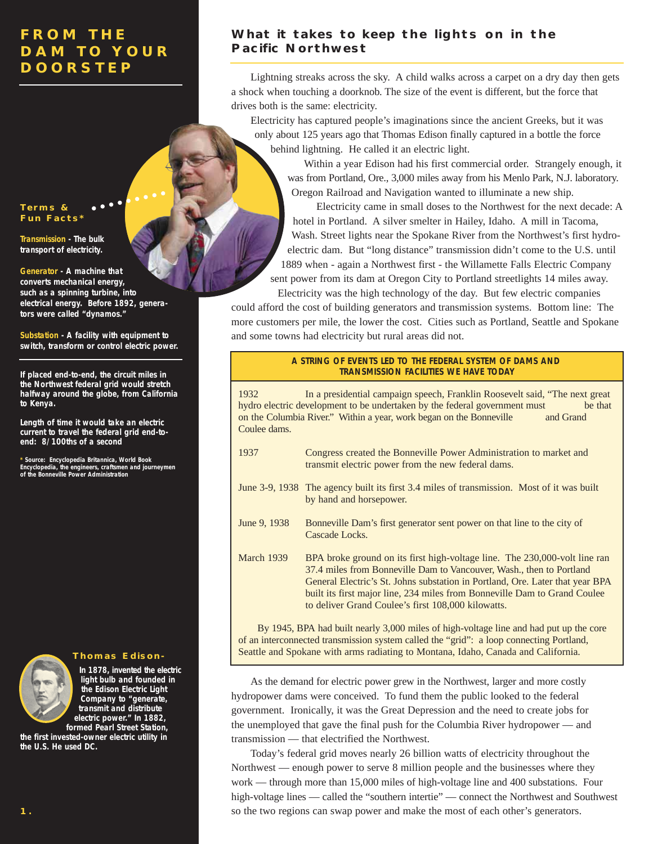#### **Terms & Fun Facts\***

**Transmission - The bulk transport of electricity.**

**Generator - A machine that converts mechanical energy, such as a spinning turbine, into electrical energy. Before 1892, generators were called "dynamos."**

**Substation - A facility with equipment to switch, transform or control electric power.**

**If placed end-to-end, the circuit miles in the Northwest federal grid would stretch halfway around the globe, from California to Kenya.**

**Length of time it would take an electric current to travel the federal grid end-toend: 8/100ths of a second**

**\* Source: Encyclopedia Britannica, World Book Encyclopedia, the engineers, craftsmen and journeymen of the Bonneville Power Administration**



**In 1878, invented the electric light bulb and founded in the Edison Electric Light Company to "generate, transmit and distribute electric power." In 1882, formed Pearl Street Station,**

**the first invested-owner electric utility in the U.S. He used DC.**

### **What it takes to keep the lights on in the Pacific Northwest**

Lightning streaks across the sky. A child walks across a carpet on a dry day then gets a shock when touching a doorknob. The size of the event is different, but the force that drives both is the same: electricity.

Electricity has captured people's imaginations since the ancient Greeks, but it was only about 125 years ago that Thomas Edison finally captured in a bottle the force behind lightning. He called it an electric light.

Within a year Edison had his first commercial order. Strangely enough, it was from Portland, Ore., 3,000 miles away from his Menlo Park, N.J. laboratory. Oregon Railroad and Navigation wanted to illuminate a new ship.

Electricity came in small doses to the Northwest for the next decade: A hotel in Portland. A silver smelter in Hailey, Idaho. A mill in Tacoma, Wash. Street lights near the Spokane River from the Northwest's first hydroelectric dam. But "long distance" transmission didn't come to the U.S. until 1889 when - again a Northwest first - the Willamette Falls Electric Company sent power from its dam at Oregon City to Portland streetlights 14 miles away.

Electricity was the high technology of the day. But few electric companies could afford the cost of building generators and transmission systems. Bottom line: The more customers per mile, the lower the cost. Cities such as Portland, Seattle and Spokane and some towns had electricity but rural areas did not.

#### **A STRING OF EVENTS LED TO THE FEDERAL SYSTEM OF DAMS AND TRANSMISSION FACILITIES WE HAVE TODAY**

1932 In a presidential campaign speech, Franklin Roosevelt said, "The next great hydro electric development to be undertaken by the federal government must be that on the Columbia River." Within a year, work began on the Bonneville and Grand Coulee dams.

- 1937 Congress created the Bonneville Power Administration to market and transmit electric power from the new federal dams.
- June 3-9, 1938 The agency built its first 3.4 miles of transmission. Most of it was built by hand and horsepower.
- June 9, 1938 Bonneville Dam's first generator sent power on that line to the city of Cascade Locks.
- March 1939 BPA broke ground on its first high-voltage line. The 230,000-volt line ran 37.4 miles from Bonneville Dam to Vancouver, Wash., then to Portland General Electric's St. Johns substation in Portland, Ore. Later that year BPA built its first major line, 234 miles from Bonneville Dam to Grand Coulee to deliver Grand Coulee's first 108,000 kilowatts.

By 1945, BPA had built nearly 3,000 miles of high-voltage line and had put up the core of an interconnected transmission system called the "grid": a loop connecting Portland, Seattle and Spokane with arms radiating to Montana, Idaho, Canada and California. **Thomas Edison-**

> As the demand for electric power grew in the Northwest, larger and more costly hydropower dams were conceived. To fund them the public looked to the federal government. Ironically, it was the Great Depression and the need to create jobs for the unemployed that gave the final push for the Columbia River hydropower — and transmission — that electrified the Northwest.

Today's federal grid moves nearly 26 billion watts of electricity throughout the Northwest — enough power to serve 8 million people and the businesses where they work — through more than 15,000 miles of high-voltage line and 400 substations. Four high-voltage lines — called the "southern intertie" — connect the Northwest and Southwest so the two regions can swap power and make the most of each other's generators.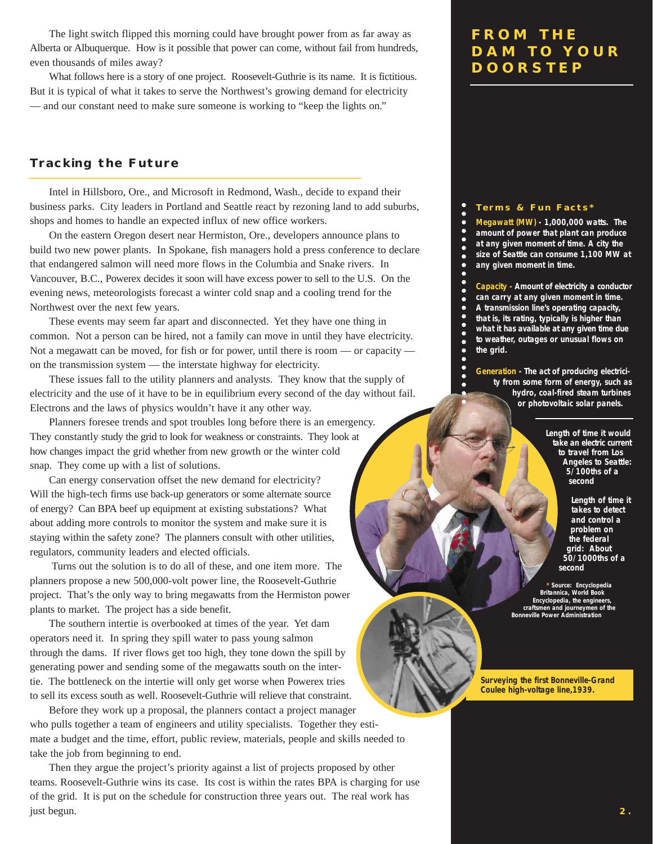The light switch flipped this morning could have brought power from as far away as Alberta or Albuquerque. How is it possible that power can come, without fail from hundreds, even thousands of miles away?

What follows here is a story of one project. Roosevelt-Guthrie is its name. It is fictitious. But it is typical of what it takes to serve the Northwest's growing demand for electricity — and our constant need to make sure someone is working to "keep the lights on."

#### **Tracking the Future**

Intel in Hillsboro, Ore., and Microsoft in Redmond, Wash., decide to expand their business parks. City leaders in Portland and Seattle react by rezoning land to add suburbs, shops and homes to handle an expected influx of new office workers.

On the eastern Oregon desert near Hermiston, Ore., developers announce plans to build two new power plants. In Spokane, fish managers hold a press conference to declare that endangered salmon will need more flows in the Columbia and Snake rivers. In Vancouver, B.C., Powerex decides it soon will have excess power to sell to the U.S. On the evening news, meteorologists forecast a winter cold snap and a cooling trend for the Northwest over the next few years.

These events may seem far apart and disconnected. Yet they have one thing in common. Not a person can be hired, not a family can move in until they have electricity. Not a megawatt can be moved, for fish or for power, until there is room — or capacity on the transmission system — the interstate highway for electricity.

These issues fall to the utility planners and analysts. They know that the supply of electricity and the use of it have to be in equilibrium every second of the day without fail. Electrons and the laws of physics wouldn't have it any other way.

Planners foresee trends and spot troubles long before there is an emergency. They constantly study the grid to look for weakness or constraints. They look at how changes impact the grid whether from new growth or the winter cold snap. They come up with a list of solutions.

Can energy conservation offset the new demand for electricity? Will the high-tech firms use back-up generators or some alternate source of energy? Can BPA beef up equipment at existing substations? What about adding more controls to monitor the system and make sure it is staying within the safety zone? The planners consult with other utilities, regulators, community leaders and elected officials.

Turns out the solution is to do all of these, and one item more. The planners propose a new 500,000-volt power line, the Roosevelt-Guthrie project. That's the only way to bring megawatts from the Hermiston power plants to market. The project has a side benefit.

The southern intertie is overbooked at times of the year. Yet dam operators need it. In spring they spill water to pass young salmon through the dams. If river flows get too high, they tone down the spill by generating power and sending some of the megawatts south on the intertie. The bottleneck on the intertie will only get worse when Powerex tries to sell its excess south as well. Roosevelt-Guthrie will relieve that constraint.

Before they work up a proposal, the planners contact a project manager who pulls together a team of engineers and utility specialists. Together they estimate a budget and the time, effort, public review, materials, people and skills needed to take the job from beginning to end.

Then they argue the project's priority against a list of projects proposed by other teams. Roosevelt-Guthrie wins its case. Its cost is within the rates BPA is charging for use of the grid. It is put on the schedule for construction three years out. The real work has just begun.

### **FROM THE DAM TO YOUR DOORSTEP**

#### **Terms & Fun Facts\***

 $\bullet$  $\bullet$  $\bullet$  $\bullet$  $\bullet$ 

 $\bullet$  $\bullet$ 

 $\bullet$  $\bullet$  $\bullet$  $\bullet$ c

**Megawatt (MW) - 1,000,000 watts. The amount of power that plant can produce at any given moment of time. A city the size of Seattle can consume 1,100 MW at any given moment in time.**

**Capacity - Amount of electricity a conductor can carry at any given moment in time. A transmission line's operating capacity, that is, its rating, typically is higher than what it has available at any given time due to weather, outages or unusual flows on the grid.**

**Generation - The act of producing electricity from some form of energy, such as hydro, coal-fired steam turbines or photovoltaic solar panels.**

> **Length of time it would take an electric current to travel from Los Angeles to Seattle: 5/100ths of a second**

> > **Length of time it takes to detect and control a problem on the federal grid: About 50/1000ths of a second**

**\* Source: Encyclopedia Britannica, World Book Encyclopedia, the engineers craftsmen and journeymen of the Bonneville Power Administration**

**Surveying the first Bonneville-Grand Coulee high-voltage line,1939.**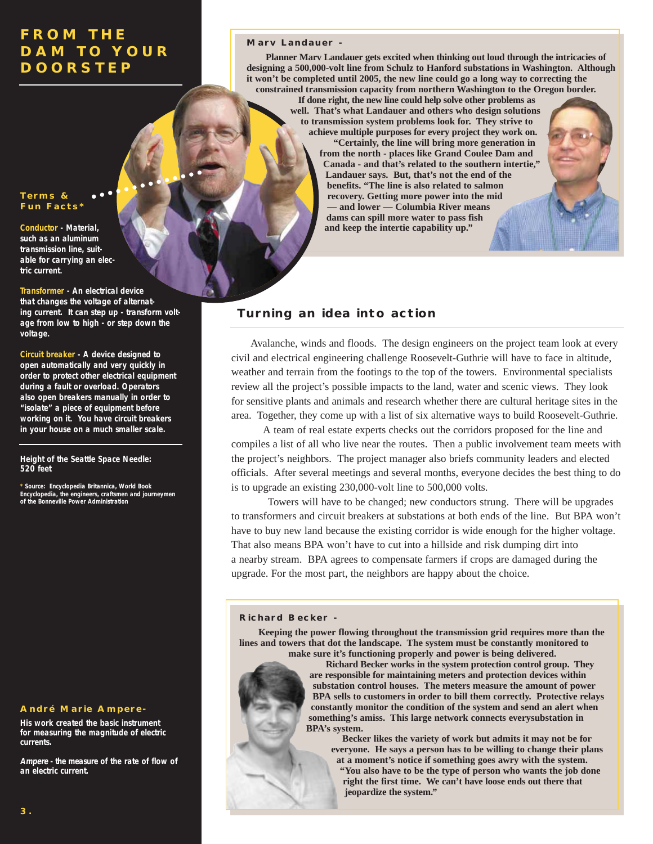#### **Terms & Fun Facts\***

**Conductor - Material, such as an aluminum transmission line, suitable for carrying an electric current.**

**Transformer - An electrical device that changes the voltage of alternating current. It can step up - transform voltage from low to high - or step down the voltage.**

**Circuit breaker - A device designed to open automatically and very quickly in order to protect other electrical equipment during a fault or overload. Operators also open breakers manually in order to "isolate" a piece of equipment before working on it. You have circuit breakers in your house on a much smaller scale.**

#### **Height of the Seattle Space Needle: 520 feet**

**\* Source: Encyclopedia Britannica, World Book Encyclopedia, the engineers, craftsmen and journeymen of the Bonneville Power Administration**

#### **André Marie Ampere-**

**His work created the basic instrument for measuring the magnitude of electric currents.**

**Ampere - the measure of the rate of flow of an electric current.**

#### **Marv Landauer -**

**Planner Marv Landauer gets excited when thinking out loud through the intricacies of designing a 500,000-volt line from Schulz to Hanford substations in Washington. Although it won't be completed until 2005, the new line could go a long way to correcting the constrained transmission capacity from northern Washington to the Oregon border.**

**If done right, the new line could help solve other problems as well. That's what Landauer and others who design solutions to transmission system problems look for. They strive to achieve multiple purposes for every project they work on.**

> **"Certainly, the line will bring more generation in from the north - places like Grand Coulee Dam and Canada - and that's related to the southern intertie," Landauer says. But, that's not the end of the benefits. "The line is also related to salmon recovery. Getting more power into the mid — and lower — Columbia River means dams can spill more water to pass fish and keep the intertie capability up."**



Avalanche, winds and floods. The design engineers on the project team look at every civil and electrical engineering challenge Roosevelt-Guthrie will have to face in altitude, weather and terrain from the footings to the top of the towers. Environmental specialists review all the project's possible impacts to the land, water and scenic views. They look for sensitive plants and animals and research whether there are cultural heritage sites in the area. Together, they come up with a list of six alternative ways to build Roosevelt-Guthrie.

A team of real estate experts checks out the corridors proposed for the line and compiles a list of all who live near the routes. Then a public involvement team meets with the project's neighbors. The project manager also briefs community leaders and elected officials. After several meetings and several months, everyone decides the best thing to do is to upgrade an existing 230,000-volt line to 500,000 volts.

Towers will have to be changed; new conductors strung. There will be upgrades to transformers and circuit breakers at substations at both ends of the line. But BPA won't have to buy new land because the existing corridor is wide enough for the higher voltage. That also means BPA won't have to cut into a hillside and risk dumping dirt into a nearby stream. BPA agrees to compensate farmers if crops are damaged during the upgrade. For the most part, the neighbors are happy about the choice.

#### **Richard Becker -**

**Keeping the power flowing throughout the transmission grid requires more than the lines and towers that dot the landscape. The system must be constantly monitored to make sure it's functioning properly and power is being delivered.**

**Richard Becker works in the system protection control group. They are responsible for maintaining meters and protection devices within substation control houses. The meters measure the amount of power BPA sells to customers in order to bill them correctly. Protective relays constantly monitor the condition of the system and send an alert when something's amiss. This large network connects everysubstation in BPA's system.**

**Becker likes the variety of work but admits it may not be for everyone. He says a person has to be willing to change their plans at a moment's notice if something goes awry with the system. "You also have to be the type of person who wants the job done right the first time. We can't have loose ends out there that jeopardize the system."**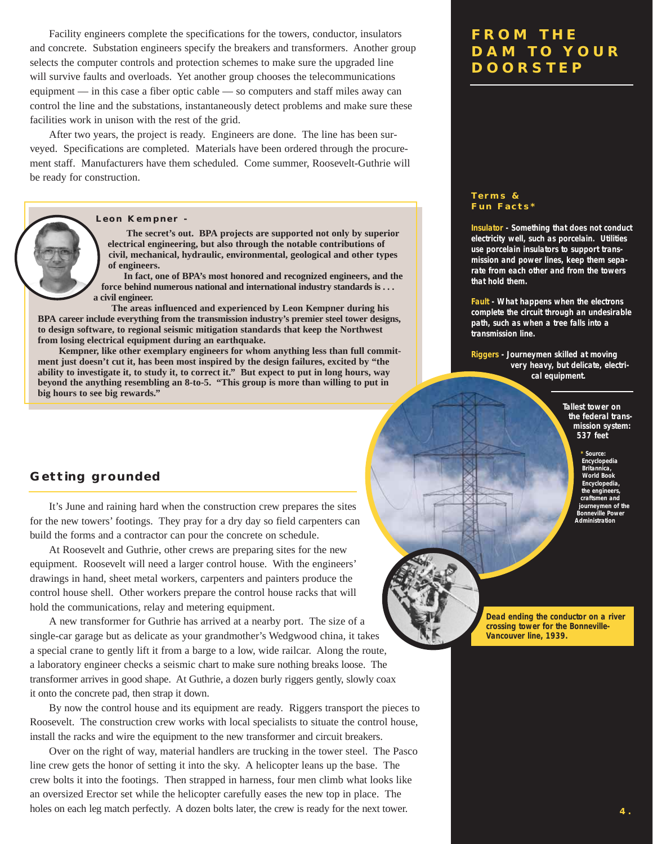Facility engineers complete the specifications for the towers, conductor, insulators and concrete. Substation engineers specify the breakers and transformers. Another group selects the computer controls and protection schemes to make sure the upgraded line will survive faults and overloads. Yet another group chooses the telecommunications equipment — in this case a fiber optic cable — so computers and staff miles away can control the line and the substations, instantaneously detect problems and make sure these facilities work in unison with the rest of the grid.

After two years, the project is ready. Engineers are done. The line has been surveyed. Specifications are completed. Materials have been ordered through the procurement staff. Manufacturers have them scheduled. Come summer, Roosevelt-Guthrie will be ready for construction.

#### **Leon Kempner -**

**The secret's out. BPA projects are supported not only by superior electrical engineering, but also through the notable contributions of civil, mechanical, hydraulic, environmental, geological and other types of engineers.**

**In fact, one of BPA's most honored and recognized engineers, and the force behind numerous national and international industry standards is . . . a civil engineer.**

**The areas influenced and experienced by Leon Kempner during his BPA career include everything from the transmission industry's premier steel tower designs, to design software, to regional seismic mitigation standards that keep the Northwest from losing electrical equipment during an earthquake.**

**Kempner, like other exemplary engineers for whom anything less than full commitment just doesn't cut it, has been most inspired by the design failures, excited by "the ability to investigate it, to study it, to correct it." But expect to put in long hours, way beyond the anything resembling an 8-to-5. "This group is more than willing to put in big hours to see big rewards."**

### **FROM THE DAM TO YOUR DOORSTEP**

#### **Terms & Fun Facts\***

**Insulator - Something that does not conduct electricity well, such as porcelain. Utilities use porcelain insulators to support transmission and power lines, keep them separate from each other and from the towers that hold them.**

**Fault - What happens when the electrons complete the circuit through an undesirable path, such as when a tree falls into a transmission line.** 

**Riggers - Journeymen skilled at moving very heavy, but delicate, electrical equipment.** 

> **Tallest tower on the federal transmission system: 537 feet**

> > **\* Source: Encyclopedia Britannica, World Book Encyclopedia, the engineers, craftsmen and journeymen of the Bonneville Power Administration**

#### **Getting grounded**

It's June and raining hard when the construction crew prepares the sites for the new towers' footings. They pray for a dry day so field carpenters can build the forms and a contractor can pour the concrete on schedule.

At Roosevelt and Guthrie, other crews are preparing sites for the new equipment. Roosevelt will need a larger control house. With the engineers' drawings in hand, sheet metal workers, carpenters and painters produce the control house shell. Other workers prepare the control house racks that will hold the communications, relay and metering equipment.

A new transformer for Guthrie has arrived at a nearby port. The size of a single-car garage but as delicate as your grandmother's Wedgwood china, it takes a special crane to gently lift it from a barge to a low, wide railcar. Along the route, a laboratory engineer checks a seismic chart to make sure nothing breaks loose. The transformer arrives in good shape. At Guthrie, a dozen burly riggers gently, slowly coax it onto the concrete pad, then strap it down.

By now the control house and its equipment are ready. Riggers transport the pieces to Roosevelt. The construction crew works with local specialists to situate the control house, install the racks and wire the equipment to the new transformer and circuit breakers.

Over on the right of way, material handlers are trucking in the tower steel. The Pasco line crew gets the honor of setting it into the sky. A helicopter leans up the base. The crew bolts it into the footings. Then strapped in harness, four men climb what looks like an oversized Erector set while the helicopter carefully eases the new top in place. The holes on each leg match perfectly. A dozen bolts later, the crew is ready for the next tower.

**Dead ending the conductor on a river crossing tower for the Bonneville-Vancouver line, 1939.**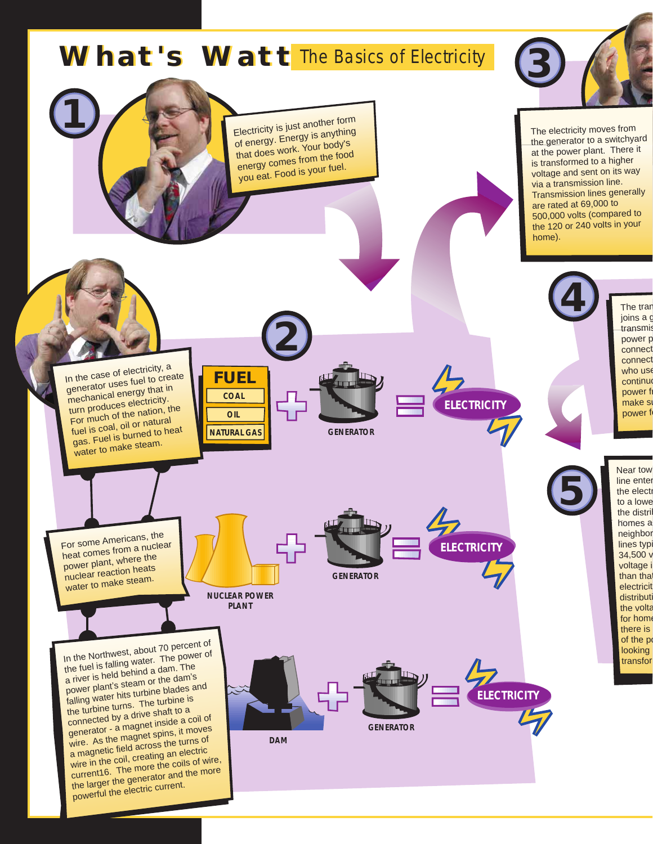

powerful the electric current.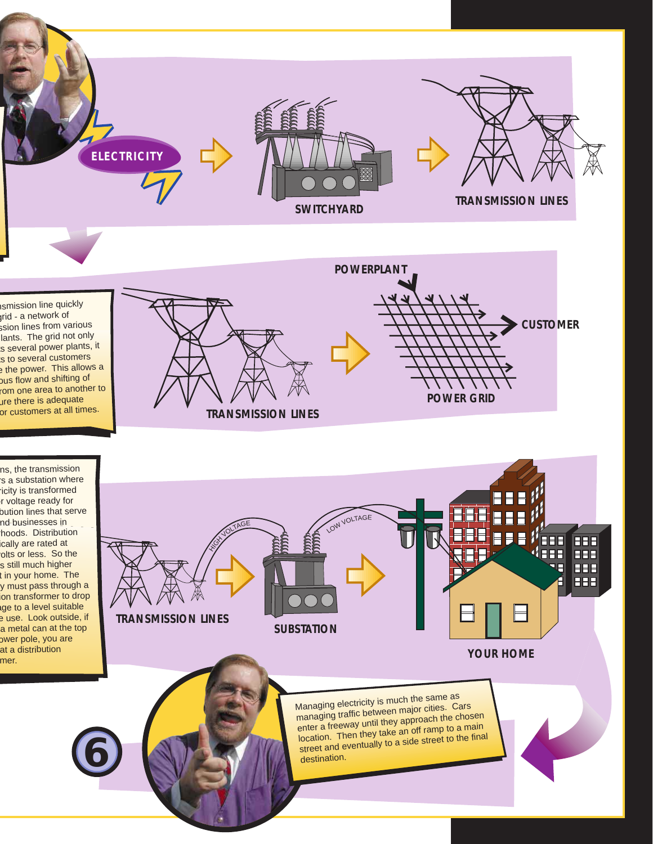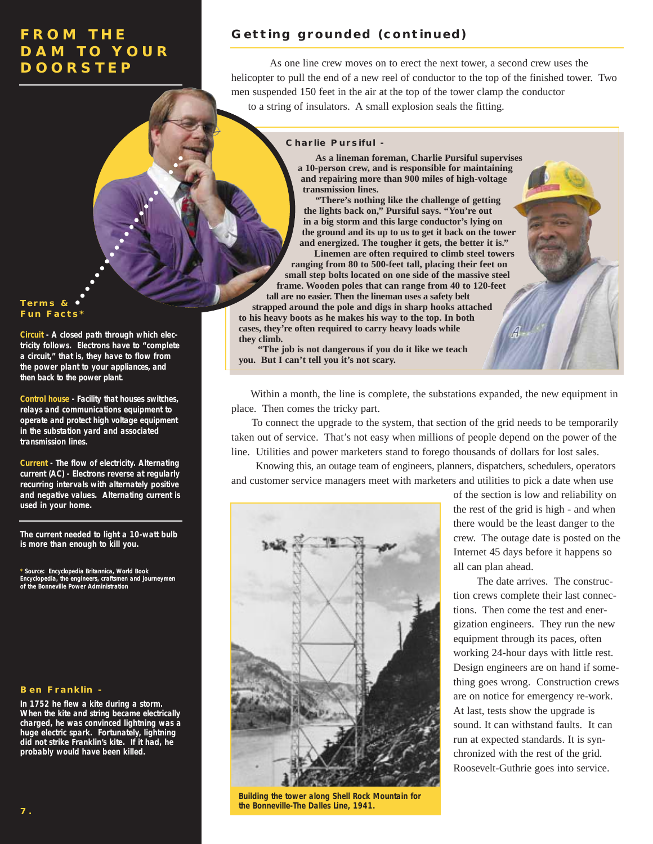#### **Terms & Fun Facts\***

**Circuit - A closed path through which electricity follows. Electrons have to "complete a circuit," that is, they have to flow from the power plant to your appliances, and then back to the power plant.**

**Control house - Facility that houses switches, relays and communications equipment to operate and protect high voltage equipment in the substation yard and associated transmission lines.**

**Current - The flow of electricity. Alternating current (AC) - Electrons reverse at regularly recurring intervals with alternately positive and negative values. Alternating current is used in your home.**

**The current needed to light a 10-watt bulb is more than enough to kill you.**

**\* Source: Encyclopedia Britannica, World Book Encyclopedia, the engineers, craftsmen and journeymen of the Bonneville Power Administration**

#### **Ben Franklin -**

**In 1752 he flew a kite during a storm. When the kite and string became electrically charged, he was convinced lightning was a huge electric spark. Fortunately, lightning did not strike Franklin's kite. If it had, he probably would have been killed.**

### **Getting grounded (continued)**

As one line crew moves on to erect the next tower, a second crew uses the helicopter to pull the end of a new reel of conductor to the top of the finished tower. Two men suspended 150 feet in the air at the top of the tower clamp the conductor to a string of insulators. A small explosion seals the fitting.

#### **Charlie Pursiful -**

**As a lineman foreman, Charlie Pursiful supervises a 10-person crew, and is responsible for maintaining and repairing more than 900 miles of high-voltage transmission lines.**

**"There's nothing like the challenge of getting the lights back on," Pursiful says. "You're out in a big storm and this large conductor's lying on the ground and its up to us to get it back on the tower and energized. The tougher it gets, the better it is."**

**Linemen are often required to climb steel towers ranging from 80 to 500-feet tall, placing their feet on small step bolts located on one side of the massive steel frame. Wooden poles that can range from 40 to 120-feet tall are no easier. Then the lineman uses a safety belt strapped around the pole and digs in sharp hooks attached to his heavy boots as he makes his way to the top. In both cases, they're often required to carry heavy loads while they climb.**

**"The job is not dangerous if you do it like we teach you. But I can't tell you it's not scary.**

Within a month, the line is complete, the substations expanded, the new equipment in place. Then comes the tricky part.

To connect the upgrade to the system, that section of the grid needs to be temporarily taken out of service. That's not easy when millions of people depend on the power of the line. Utilities and power marketers stand to forego thousands of dollars for lost sales.

Knowing this, an outage team of engineers, planners, dispatchers, schedulers, operators and customer service managers meet with marketers and utilities to pick a date when use



**Building the tower along Shell Rock Mountain for the Bonneville-The Dalles Line, 1941.**

of the section is low and reliability on the rest of the grid is high - and when there would be the least danger to the crew. The outage date is posted on the Internet 45 days before it happens so all can plan ahead.

The date arrives. The construction crews complete their last connections. Then come the test and energization engineers. They run the new equipment through its paces, often working 24-hour days with little rest. Design engineers are on hand if something goes wrong. Construction crews are on notice for emergency re-work. At last, tests show the upgrade is sound. It can withstand faults. It can run at expected standards. It is synchronized with the rest of the grid. Roosevelt-Guthrie goes into service.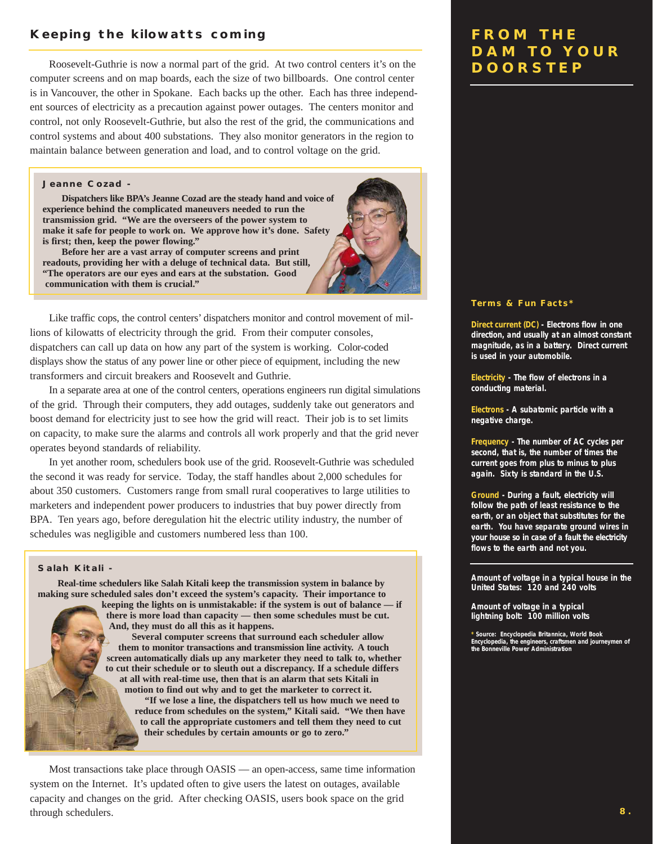### **Keeping the kilowatts coming**

Roosevelt-Guthrie is now a normal part of the grid. At two control centers it's on the computer screens and on map boards, each the size of two billboards. One control center is in Vancouver, the other in Spokane. Each backs up the other. Each has three independent sources of electricity as a precaution against power outages. The centers monitor and control, not only Roosevelt-Guthrie, but also the rest of the grid, the communications and control systems and about 400 substations. They also monitor generators in the region to maintain balance between generation and load, and to control voltage on the grid.

#### **Jeanne Cozad -**

**Dispatchers like BPA's Jeanne Cozad are the steady hand and voice of experience behind the complicated maneuvers needed to run the transmission grid. "We are the overseers of the power system to make it safe for people to work on. We approve how it's done. Safety is first; then, keep the power flowing."**

**Before her are a vast array of computer screens and print readouts, providing her with a deluge of technical data. But still, "The operators are our eyes and ears at the substation. Good communication with them is crucial."**

Like traffic cops, the control centers' dispatchers monitor and control movement of millions of kilowatts of electricity through the grid. From their computer consoles, dispatchers can call up data on how any part of the system is working. Color-coded displays show the status of any power line or other piece of equipment, including the new transformers and circuit breakers and Roosevelt and Guthrie.

In a separate area at one of the control centers, operations engineers run digital simulations of the grid. Through their computers, they add outages, suddenly take out generators and boost demand for electricity just to see how the grid will react. Their job is to set limits on capacity, to make sure the alarms and controls all work properly and that the grid never operates beyond standards of reliability.

In yet another room, schedulers book use of the grid. Roosevelt-Guthrie was scheduled the second it was ready for service. Today, the staff handles about 2,000 schedules for about 350 customers. Customers range from small rural cooperatives to large utilities to marketers and independent power producers to industries that buy power directly from BPA. Ten years ago, before deregulation hit the electric utility industry, the number of schedules was negligible and customers numbered less than 100.

#### **Salah Kitali -**

**Real-time schedulers like Salah Kitali keep the transmission system in balance by making sure scheduled sales don't exceed the system's capacity. Their importance to keeping the lights on is unmistakable: if the system is out of balance — if there is more load than capacity — then some schedules must be cut. And, they must do all this as it happens. Several computer screens that surround each scheduler allow them to monitor transactions and transmission line activity. A touch screen automatically dials up any marketer they need to talk to, whether to cut their schedule or to sleuth out a discrepancy. If a schedule differs at all with real-time use, then that is an alarm that sets Kitali in motion to find out why and to get the marketer to correct it. "If we lose a line, the dispatchers tell us how much we need to reduce from schedules on the system," Kitali said. "We then have to call the appropriate customers and tell them they need to cut their schedules by certain amounts or go to zero."**

Most transactions take place through OASIS — an open-access, same time information system on the Internet. It's updated often to give users the latest on outages, available capacity and changes on the grid. After checking OASIS, users book space on the grid through schedulers.

### **FROM THE DAM TO YOUR DOORSTEP**

#### **Terms & Fun Facts\***

**Direct current (DC) - Electrons flow in one direction, and usually at an almost constant magnitude, as in a battery. Direct current is used in your automobile.**

**Electricity - The flow of electrons in a conducting material.**

**Electrons - A subatomic particle with a negative charge.**

**Frequency - The number of AC cycles per second, that is, the number of times the current goes from plus to minus to plus again. Sixty is standard in the U.S.**

**Ground - During a fault, electricity will follow the path of least resistance to the earth, or an object that substitutes for the earth. You have separate ground wires in your house so in case of a fault the electricity flows to the earth and not you.**

**Amount of voltage in a typical house in the United States: 120 and 240 volts**

**Amount of voltage in a typical lightning bolt: 100 million volts**

**\* Source: Encyclopedia Britannica, World Book Encyclopedia, the engineers, craftsmen and journeymen of the Bonneville Power Administration**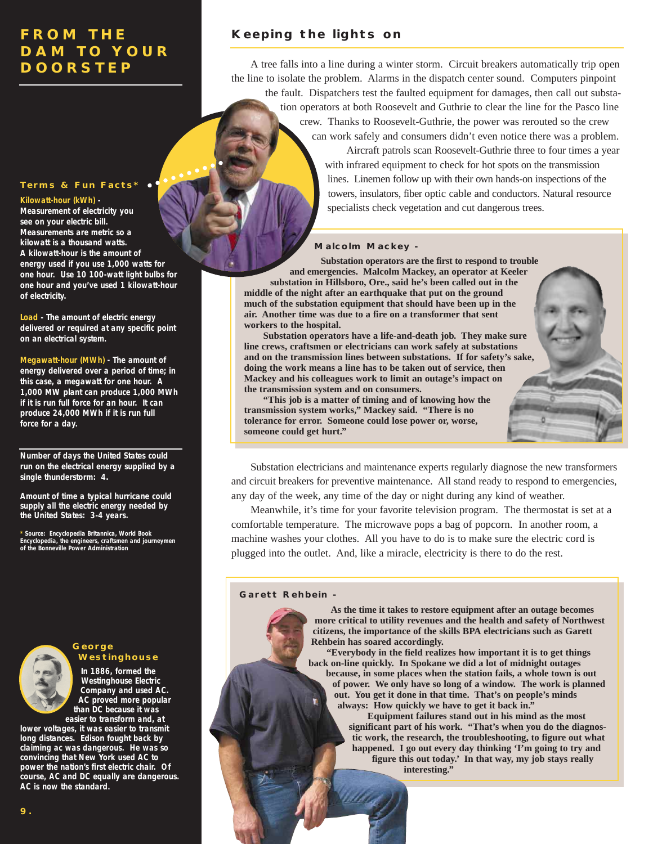#### **Terms & Fun Facts\***

**Kilowatt-hour (kWh) -**

**Measurement of electricity you see on your electric bill. Measurements are metric so a kilowatt is a thousand watts. A kilowatt-hour is the amount of energy used if you use 1,000 watts for one hour. Use 10 100-watt light bulbs for one hour and you've used 1 kilowatt-hour of electricity.**

**Load - The amount of electric energy delivered or required at any specific point on an electrical system.**

**Megawatt-hour (MWh) - The amount of energy delivered over a period of time; in this case, a megawatt for one hour. A 1,000 MW plant can produce 1,000 MWh if it is run full force for an hour. It can produce 24,000 MWh if it is run full force for a day.** 

**Number of days the United States could run on the electrical energy supplied by a single thunderstorm: 4.**

**Amount of time a typical hurricane could supply all the electric energy needed by the United States: 3-4 years.**

**\* Source: Encyclopedia Britannica, World Book Encyclopedia, the engineers, craftsmen and journeymen of the Bonneville Power Administration**

## **George Westinghouse**

**In 1886, formed the Westinghouse Electric Company and used AC. AC proved more popular than DC because it was** 

**easier to transform and, at lower voltages, it was easier to transmit long distances. Edison fought back by claiming ac was dangerous. He was so convincing that New York used AC to power the nation's first electric chair. Of course, AC and DC equally are dangerous. AC is now the standard.**

### **Keeping the lights on**

A tree falls into a line during a winter storm. Circuit breakers automatically trip open the line to isolate the problem. Alarms in the dispatch center sound. Computers pinpoint the fault. Dispatchers test the faulted equipment for damages, then call out substa-

tion operators at both Roosevelt and Guthrie to clear the line for the Pasco line crew. Thanks to Roosevelt-Guthrie, the power was rerouted so the crew can work safely and consumers didn't even notice there was a problem.

> Aircraft patrols scan Roosevelt-Guthrie three to four times a year with infrared equipment to check for hot spots on the transmission lines. Linemen follow up with their own hands-on inspections of the towers, insulators, fiber optic cable and conductors. Natural resource specialists check vegetation and cut dangerous trees.

#### **Malcolm Mackey -**

**Substation operators are the first to respond to trouble and emergencies. Malcolm Mackey, an operator at Keeler**

**substation in Hillsboro, Ore., said he's been called out in the middle of the night after an earthquake that put on the ground much of the substation equipment that should have been up in the air. Another time was due to a fire on a transformer that sent workers to the hospital.**

**Substation operators have a life-and-death job. They make sure line crews, craftsmen or electricians can work safely at substations and on the transmission lines between substations. If for safety's sake, doing the work means a line has to be taken out of service, then Mackey and his colleagues work to limit an outage's impact on the transmission system and on consumers.**

**"This job is a matter of timing and of knowing how the transmission system works," Mackey said. "There is no tolerance for error. Someone could lose power or, worse, someone could get hurt."**

Substation electricians and maintenance experts regularly diagnose the new transformers and circuit breakers for preventive maintenance. All stand ready to respond to emergencies, any day of the week, any time of the day or night during any kind of weather.

Meanwhile, it's time for your favorite television program. The thermostat is set at a comfortable temperature. The microwave pops a bag of popcorn. In another room, a machine washes your clothes. All you have to do is to make sure the electric cord is plugged into the outlet. And, like a miracle, electricity is there to do the rest.

#### **Garett Rehbein -**

**As the time it takes to restore equipment after an outage becomes more critical to utility revenues and the health and safety of Northwest citizens, the importance of the skills BPA electricians such as Garett Rehbein has soared accordingly.**

**"Everybody in the field realizes how important it is to get things back on-line quickly. In Spokane we did a lot of midnight outages because, in some places when the station fails, a whole town is out of power. We only have so long of a window. The work is planned out. You get it done in that time. That's on people's minds always: How quickly we have to get it back in."**

**Equipment failures stand out in his mind as the most significant part of his work. "That's when you do the diagnostic work, the research, the troubleshooting, to figure out what happened. I go out every day thinking 'I'm going to try and figure this out today.' In that way, my job stays really interesting."**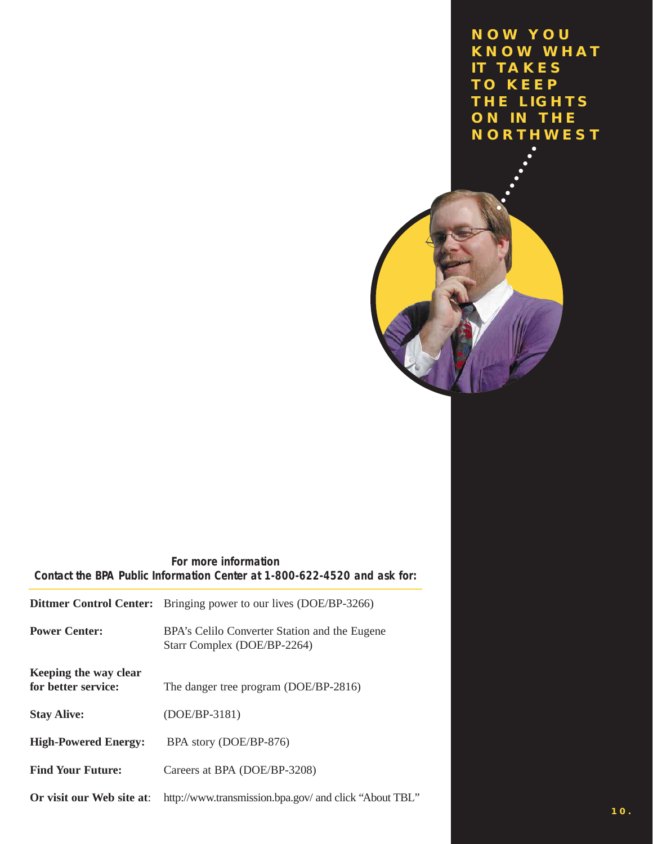**NOW YOU KNOW WHAT IT TAKES TO KEEP THE LIGHTS ON IN THE NORTHWEST**



**For more information Contact the BPA Public Information Center at 1-800-622-4520 and ask for:**

| <b>Dittmer Control Center:</b>               | Bringing power to our lives (DOE/BP-3266)                                    |
|----------------------------------------------|------------------------------------------------------------------------------|
| <b>Power Center:</b>                         | BPA's Celilo Converter Station and the Eugene<br>Starr Complex (DOE/BP-2264) |
| Keeping the way clear<br>for better service: | The danger tree program (DOE/BP-2816)                                        |
| <b>Stay Alive:</b>                           | (DOE/BP-3181)                                                                |
| <b>High-Powered Energy:</b>                  | BPA story (DOE/BP-876)                                                       |
| <b>Find Your Future:</b>                     | Careers at BPA (DOE/BP-3208)                                                 |
| Or visit our Web site at:                    | http://www.transmission.bpa.gov/ and click "About TBL"                       |